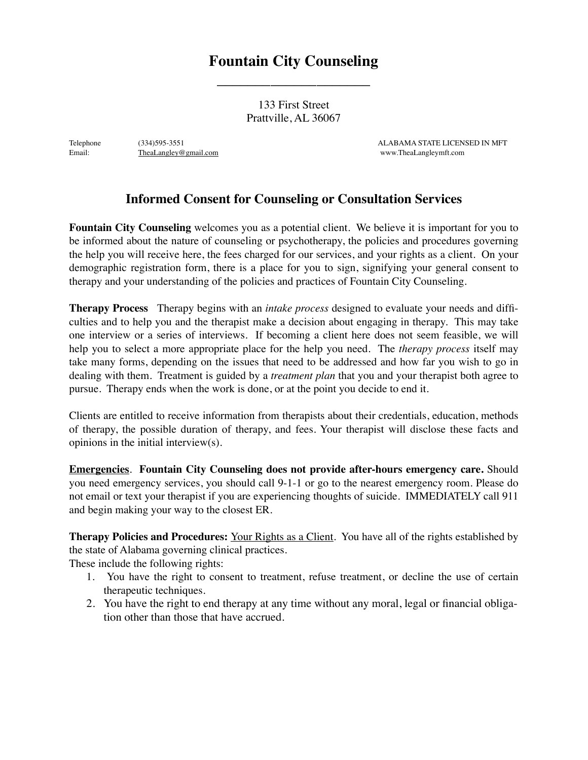## **Fountain City Counseling**

\_\_\_\_\_\_\_\_\_\_\_\_\_\_\_\_\_\_\_\_

133 First Street Prattville, AL 36067

Telephone (334)595-3551 ALABAMA STATE LICENSED IN MFT Email: [TheaLangley@gmail.com](mailto:TheaLangley@gmail.com) **TheaLangley@gmail.com** [www.TheaLangleymft.com](http://www.TheaLangleymft.com)

## **Informed Consent for Counseling or Consultation Services**

**Fountain City Counseling** welcomes you as a potential client. We believe it is important for you to be informed about the nature of counseling or psychotherapy, the policies and procedures governing the help you will receive here, the fees charged for our services, and your rights as a client. On your demographic registration form, there is a place for you to sign, signifying your general consent to therapy and your understanding of the policies and practices of Fountain City Counseling.

**Therapy Process** Therapy begins with an *intake process* designed to evaluate your needs and difficulties and to help you and the therapist make a decision about engaging in therapy. This may take one interview or a series of interviews. If becoming a client here does not seem feasible, we will help you to select a more appropriate place for the help you need. The *therapy process* itself may take many forms, depending on the issues that need to be addressed and how far you wish to go in dealing with them. Treatment is guided by a *treatment plan* that you and your therapist both agree to pursue. Therapy ends when the work is done, or at the point you decide to end it.

Clients are entitled to receive information from therapists about their credentials, education, methods of therapy, the possible duration of therapy, and fees. Your therapist will disclose these facts and opinions in the initial interview(s).

**Emergencies**. **Fountain City Counseling does not provide after-hours emergency care.** Should you need emergency services, you should call 9-1-1 or go to the nearest emergency room. Please do not email or text your therapist if you are experiencing thoughts of suicide. IMMEDIATELY call 911 and begin making your way to the closest ER.

**Therapy Policies and Procedures:** Your Rights as a Client. You have all of the rights established by the state of Alabama governing clinical practices.

These include the following rights:

- 1. You have the right to consent to treatment, refuse treatment, or decline the use of certain therapeutic techniques.
- 2. You have the right to end therapy at any time without any moral, legal or financial obligation other than those that have accrued.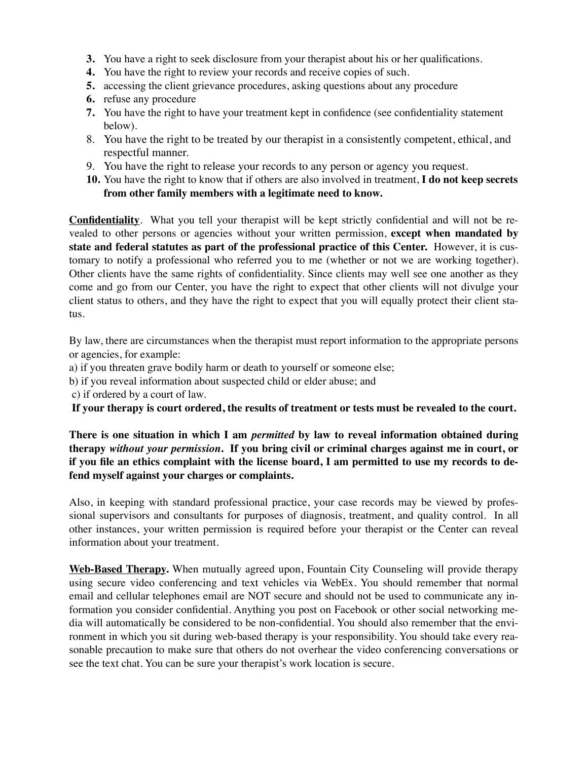- **3.** You have a right to seek disclosure from your therapist about his or her qualifications.
- **4.** You have the right to review your records and receive copies of such.
- **5.** accessing the client grievance procedures, asking questions about any procedure
- **6.** refuse any procedure
- **7.** You have the right to have your treatment kept in confidence (see confidentiality statement below).
- 8. You have the right to be treated by our therapist in a consistently competent, ethical, and respectful manner.
- 9. You have the right to release your records to any person or agency you request.
- **10.** You have the right to know that if others are also involved in treatment, **I do not keep secrets from other family members with a legitimate need to know.**

**Confidentiality**. What you tell your therapist will be kept strictly confidential and will not be revealed to other persons or agencies without your written permission, **except when mandated by state and federal statutes as part of the professional practice of this Center.** However, it is customary to notify a professional who referred you to me (whether or not we are working together). Other clients have the same rights of confidentiality. Since clients may well see one another as they come and go from our Center, you have the right to expect that other clients will not divulge your client status to others, and they have the right to expect that you will equally protect their client status.

By law, there are circumstances when the therapist must report information to the appropriate persons or agencies, for example:

- a) if you threaten grave bodily harm or death to yourself or someone else;
- b) if you reveal information about suspected child or elder abuse; and
- c) if ordered by a court of law.

**If your therapy is court ordered, the results of treatment or tests must be revealed to the court.** 

**There is one situation in which I am** *permitted* **by law to reveal information obtained during therapy** *without your permission***. If you bring civil or criminal charges against me in court, or if you file an ethics complaint with the license board, I am permitted to use my records to defend myself against your charges or complaints.**

Also, in keeping with standard professional practice, your case records may be viewed by professional supervisors and consultants for purposes of diagnosis, treatment, and quality control. In all other instances, your written permission is required before your therapist or the Center can reveal information about your treatment.

**Web-Based Therapy.** When mutually agreed upon, Fountain City Counseling will provide therapy using secure video conferencing and text vehicles via WebEx. You should remember that normal email and cellular telephones email are NOT secure and should not be used to communicate any information you consider confidential. Anything you post on Facebook or other social networking media will automatically be considered to be non-confidential. You should also remember that the environment in which you sit during web-based therapy is your responsibility. You should take every reasonable precaution to make sure that others do not overhear the video conferencing conversations or see the text chat. You can be sure your therapist's work location is secure.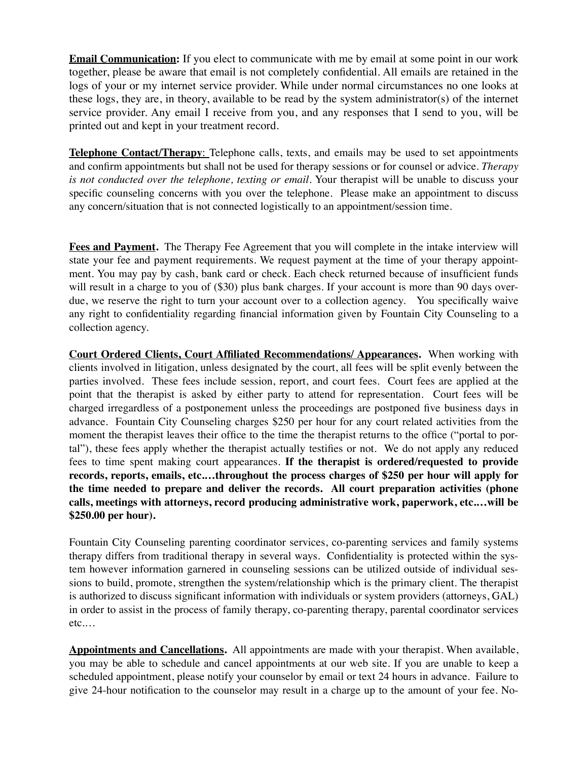**Email Communication:** If you elect to communicate with me by email at some point in our work together, please be aware that email is not completely confidential. All emails are retained in the logs of your or my internet service provider. While under normal circumstances no one looks at these logs, they are, in theory, available to be read by the system administrator(s) of the internet service provider. Any email I receive from you, and any responses that I send to you, will be printed out and kept in your treatment record.

**Telephone Contact/Therapy**: Telephone calls, texts, and emails may be used to set appointments and confirm appointments but shall not be used for therapy sessions or for counsel or advice. *Therapy is not conducted over the telephone, texting or email.* Your therapist will be unable to discuss your specific counseling concerns with you over the telephone. Please make an appointment to discuss any concern/situation that is not connected logistically to an appointment/session time.

**Fees and Payment.** The Therapy Fee Agreement that you will complete in the intake interview will state your fee and payment requirements. We request payment at the time of your therapy appointment. You may pay by cash, bank card or check. Each check returned because of insufficient funds will result in a charge to you of (\$30) plus bank charges. If your account is more than 90 days overdue, we reserve the right to turn your account over to a collection agency. You specifically waive any right to confidentiality regarding financial information given by Fountain City Counseling to a collection agency.

**Court Ordered Clients, Court Affiliated Recommendations/ Appearances.** When working with clients involved in litigation, unless designated by the court, all fees will be split evenly between the parties involved. These fees include session, report, and court fees. Court fees are applied at the point that the therapist is asked by either party to attend for representation. Court fees will be charged irregardless of a postponement unless the proceedings are postponed five business days in advance. Fountain City Counseling charges \$250 per hour for any court related activities from the moment the therapist leaves their office to the time the therapist returns to the office ("portal to portal"), these fees apply whether the therapist actually testifies or not. We do not apply any reduced fees to time spent making court appearances. **If the therapist is ordered/requested to provide records, reports, emails, etc.…throughout the process charges of \$250 per hour will apply for the time needed to prepare and deliver the records. All court preparation activities (phone calls, meetings with attorneys, record producing administrative work, paperwork, etc.…will be \$250.00 per hour).** 

Fountain City Counseling parenting coordinator services, co-parenting services and family systems therapy differs from traditional therapy in several ways. Confidentiality is protected within the system however information garnered in counseling sessions can be utilized outside of individual sessions to build, promote, strengthen the system/relationship which is the primary client. The therapist is authorized to discuss significant information with individuals or system providers (attorneys, GAL) in order to assist in the process of family therapy, co-parenting therapy, parental coordinator services etc.…

**Appointments and Cancellations.** All appointments are made with your therapist. When available, you may be able to schedule and cancel appointments at our web site. If you are unable to keep a scheduled appointment, please notify your counselor by email or text 24 hours in advance. Failure to give 24-hour notification to the counselor may result in a charge up to the amount of your fee. No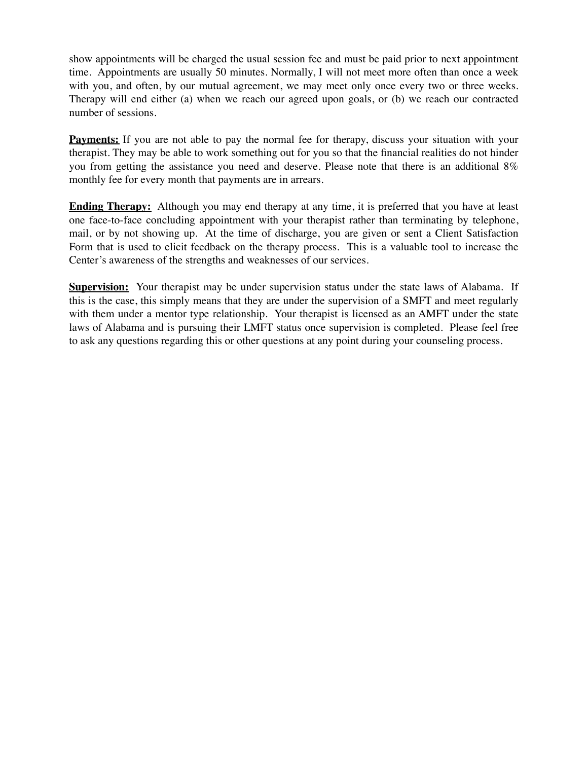show appointments will be charged the usual session fee and must be paid prior to next appointment time. Appointments are usually 50 minutes. Normally, I will not meet more often than once a week with you, and often, by our mutual agreement, we may meet only once every two or three weeks. Therapy will end either (a) when we reach our agreed upon goals, or (b) we reach our contracted number of sessions.

**Payments:** If you are not able to pay the normal fee for therapy, discuss your situation with your therapist. They may be able to work something out for you so that the financial realities do not hinder you from getting the assistance you need and deserve. Please note that there is an additional 8% monthly fee for every month that payments are in arrears.

**Ending Therapy:** Although you may end therapy at any time, it is preferred that you have at least one face-to-face concluding appointment with your therapist rather than terminating by telephone, mail, or by not showing up. At the time of discharge, you are given or sent a Client Satisfaction Form that is used to elicit feedback on the therapy process. This is a valuable tool to increase the Center's awareness of the strengths and weaknesses of our services.

**Supervision:** Your therapist may be under supervision status under the state laws of Alabama. If this is the case, this simply means that they are under the supervision of a SMFT and meet regularly with them under a mentor type relationship. Your therapist is licensed as an AMFT under the state laws of Alabama and is pursuing their LMFT status once supervision is completed. Please feel free to ask any questions regarding this or other questions at any point during your counseling process.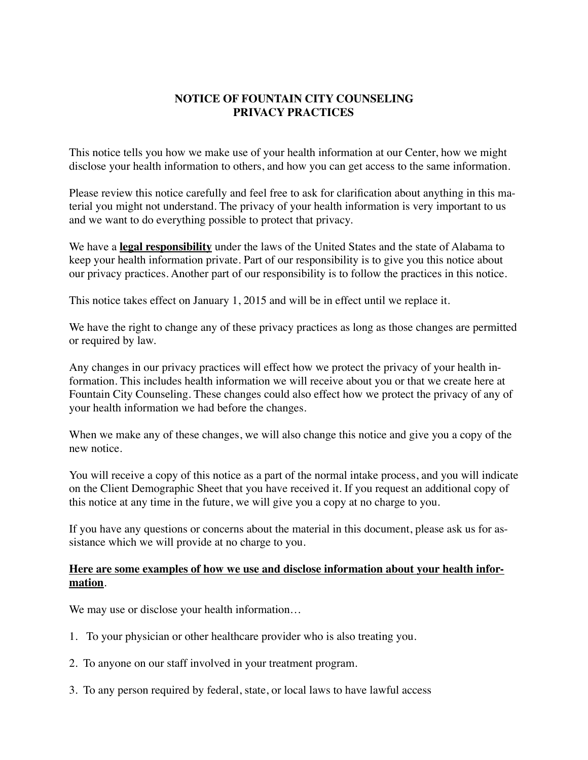## **NOTICE OF FOUNTAIN CITY COUNSELING PRIVACY PRACTICES**

This notice tells you how we make use of your health information at our Center, how we might disclose your health information to others, and how you can get access to the same information.

Please review this notice carefully and feel free to ask for clarification about anything in this material you might not understand. The privacy of your health information is very important to us and we want to do everything possible to protect that privacy.

We have a **legal responsibility** under the laws of the United States and the state of Alabama to keep your health information private. Part of our responsibility is to give you this notice about our privacy practices. Another part of our responsibility is to follow the practices in this notice.

This notice takes effect on January 1, 2015 and will be in effect until we replace it.

We have the right to change any of these privacy practices as long as those changes are permitted or required by law.

Any changes in our privacy practices will effect how we protect the privacy of your health information. This includes health information we will receive about you or that we create here at Fountain City Counseling. These changes could also effect how we protect the privacy of any of your health information we had before the changes.

When we make any of these changes, we will also change this notice and give you a copy of the new notice.

You will receive a copy of this notice as a part of the normal intake process, and you will indicate on the Client Demographic Sheet that you have received it. If you request an additional copy of this notice at any time in the future, we will give you a copy at no charge to you.

If you have any questions or concerns about the material in this document, please ask us for assistance which we will provide at no charge to you.

## **Here are some examples of how we use and disclose information about your health information**.

We may use or disclose your health information...

- 1. To your physician or other healthcare provider who is also treating you.
- 2. To anyone on our staff involved in your treatment program.
- 3. To any person required by federal, state, or local laws to have lawful access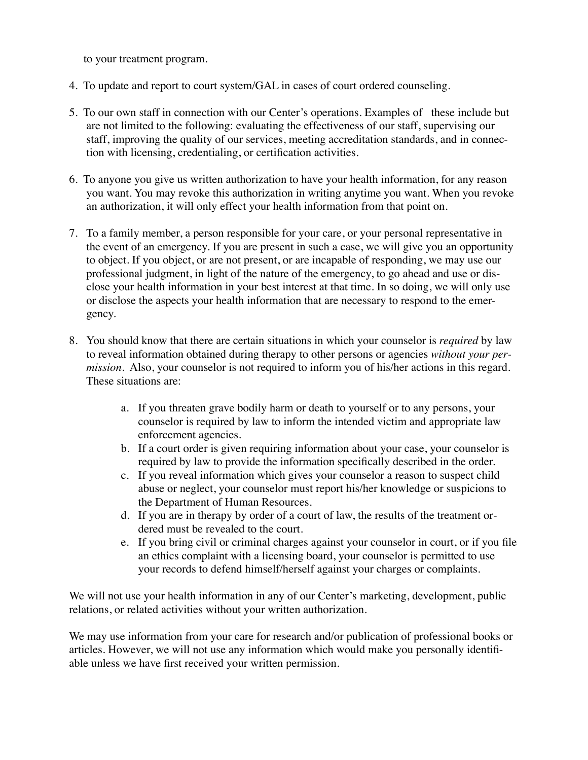to your treatment program.

- 4. To update and report to court system/GAL in cases of court ordered counseling.
- 5. To our own staff in connection with our Center's operations. Examples of these include but are not limited to the following: evaluating the effectiveness of our staff, supervising our staff, improving the quality of our services, meeting accreditation standards, and in connection with licensing, credentialing, or certification activities.
- 6. To anyone you give us written authorization to have your health information, for any reason you want. You may revoke this authorization in writing anytime you want. When you revoke an authorization, it will only effect your health information from that point on.
- 7. To a family member, a person responsible for your care, or your personal representative in the event of an emergency. If you are present in such a case, we will give you an opportunity to object. If you object, or are not present, or are incapable of responding, we may use our professional judgment, in light of the nature of the emergency, to go ahead and use or disclose your health information in your best interest at that time. In so doing, we will only use or disclose the aspects your health information that are necessary to respond to the emergency.
- 8. You should know that there are certain situations in which your counselor is *required* by law to reveal information obtained during therapy to other persons or agencies *without your permission*. Also, your counselor is not required to inform you of his/her actions in this regard. These situations are:
	- a. If you threaten grave bodily harm or death to yourself or to any persons, your counselor is required by law to inform the intended victim and appropriate law enforcement agencies.
	- b. If a court order is given requiring information about your case, your counselor is required by law to provide the information specifically described in the order.
	- c. If you reveal information which gives your counselor a reason to suspect child abuse or neglect, your counselor must report his/her knowledge or suspicions to the Department of Human Resources.
	- d. If you are in therapy by order of a court of law, the results of the treatment ordered must be revealed to the court.
	- e. If you bring civil or criminal charges against your counselor in court, or if you file an ethics complaint with a licensing board, your counselor is permitted to use your records to defend himself/herself against your charges or complaints.

We will not use your health information in any of our Center's marketing, development, public relations, or related activities without your written authorization.

We may use information from your care for research and/or publication of professional books or articles. However, we will not use any information which would make you personally identifiable unless we have first received your written permission.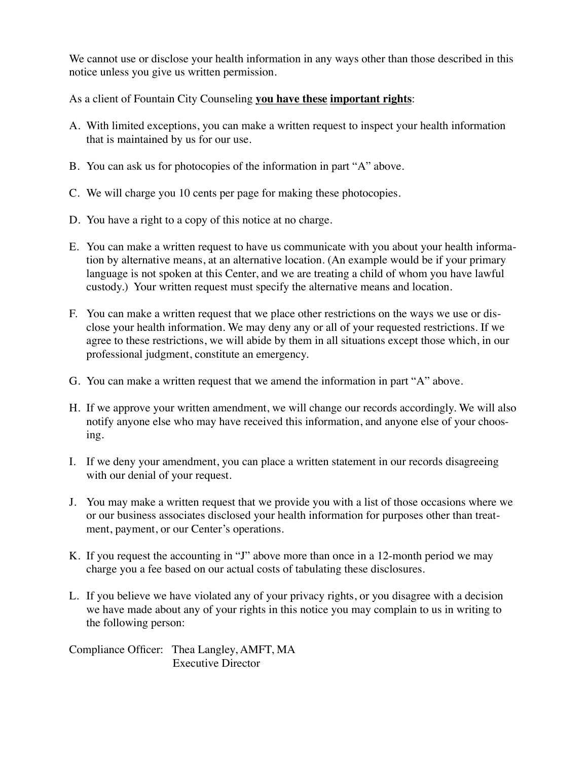We cannot use or disclose your health information in any ways other than those described in this notice unless you give us written permission.

As a client of Fountain City Counseling **you have these important rights**:

- A. With limited exceptions, you can make a written request to inspect your health information that is maintained by us for our use.
- B. You can ask us for photocopies of the information in part "A" above.
- C. We will charge you 10 cents per page for making these photocopies.
- D. You have a right to a copy of this notice at no charge.
- E. You can make a written request to have us communicate with you about your health information by alternative means, at an alternative location. (An example would be if your primary language is not spoken at this Center, and we are treating a child of whom you have lawful custody.) Your written request must specify the alternative means and location.
- F. You can make a written request that we place other restrictions on the ways we use or disclose your health information. We may deny any or all of your requested restrictions. If we agree to these restrictions, we will abide by them in all situations except those which, in our professional judgment, constitute an emergency.
- G. You can make a written request that we amend the information in part "A" above.
- H. If we approve your written amendment, we will change our records accordingly. We will also notify anyone else who may have received this information, and anyone else of your choosing.
- I. If we deny your amendment, you can place a written statement in our records disagreeing with our denial of your request.
- J. You may make a written request that we provide you with a list of those occasions where we or our business associates disclosed your health information for purposes other than treatment, payment, or our Center's operations.
- K. If you request the accounting in "J" above more than once in a 12-month period we may charge you a fee based on our actual costs of tabulating these disclosures.
- L. If you believe we have violated any of your privacy rights, or you disagree with a decision we have made about any of your rights in this notice you may complain to us in writing to the following person:

Compliance Officer: Thea Langley, AMFT, MA Executive Director